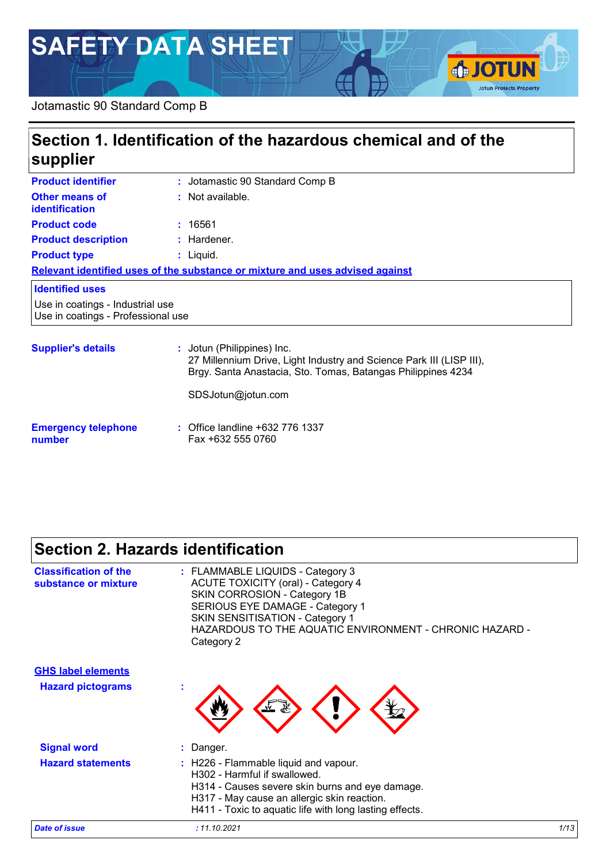# **SAFETY DATA SHEET**

#### Jotamastic 90 Standard Comp B

| Section 1. Identification of the hazardous chemical and of the<br>supplier |                                                                                                                                                                    |  |
|----------------------------------------------------------------------------|--------------------------------------------------------------------------------------------------------------------------------------------------------------------|--|
| <b>Product identifier</b>                                                  | : Jotamastic 90 Standard Comp B                                                                                                                                    |  |
| Other means of<br>identification                                           | : Not available.                                                                                                                                                   |  |
| <b>Product code</b>                                                        | : 16561                                                                                                                                                            |  |
| <b>Product description</b>                                                 | $:$ Hardener.                                                                                                                                                      |  |
| <b>Product type</b>                                                        | $:$ Liquid.                                                                                                                                                        |  |
|                                                                            | Relevant identified uses of the substance or mixture and uses advised against                                                                                      |  |
| <b>Identified uses</b>                                                     |                                                                                                                                                                    |  |
| Use in coatings - Industrial use<br>Use in coatings - Professional use     |                                                                                                                                                                    |  |
| <b>Supplier's details</b>                                                  | : Jotun (Philippines) Inc.<br>27 Millennium Drive, Light Industry and Science Park III (LISP III),<br>Brgy. Santa Anastacia, Sto. Tomas, Batangas Philippines 4234 |  |

**SJOTUN** 

**Jotun Protects Property** 

SDSJotun@jotun.com

#### **Emergency telephone number :** Office landline +632 776 1337 Fax +632 555 0760

## **Section 2. Hazards identification**

| <b>Classification of the</b><br>substance or mixture  | : FLAMMABLE LIQUIDS - Category 3<br><b>ACUTE TOXICITY (oral) - Category 4</b><br>SKIN CORROSION - Category 1B<br>SERIOUS EYE DAMAGE - Category 1<br>SKIN SENSITISATION - Category 1<br>HAZARDOUS TO THE AQUATIC ENVIRONMENT - CHRONIC HAZARD -<br>Category 2 |      |
|-------------------------------------------------------|--------------------------------------------------------------------------------------------------------------------------------------------------------------------------------------------------------------------------------------------------------------|------|
| <b>GHS label elements</b><br><b>Hazard pictograms</b> | ÷                                                                                                                                                                                                                                                            |      |
| <b>Signal word</b>                                    | Danger.                                                                                                                                                                                                                                                      |      |
| <b>Hazard statements</b>                              | : H226 - Flammable liquid and vapour.<br>H302 - Harmful if swallowed.<br>H314 - Causes severe skin burns and eye damage.<br>H317 - May cause an allergic skin reaction.<br>H411 - Toxic to aquatic life with long lasting effects.                           |      |
| <b>Date of issue</b>                                  | : 11.10.2021                                                                                                                                                                                                                                                 | 1/13 |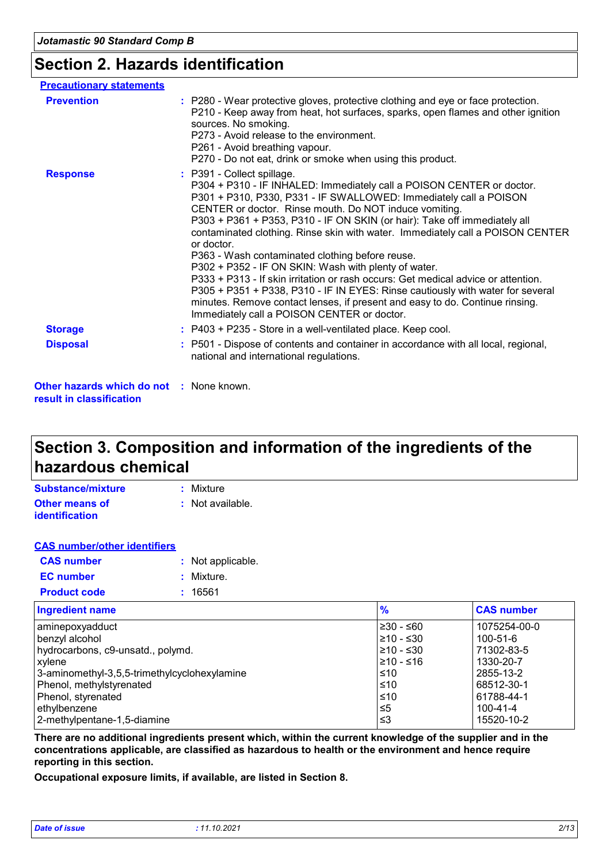### **Section 2. Hazards identification**

| <b>Precautionary statements</b>                                             |                                                                                                                                                                                                                                                                                                                                                                                                                                                                                                                                                                                                                                                                                                                                                                                                                                  |
|-----------------------------------------------------------------------------|----------------------------------------------------------------------------------------------------------------------------------------------------------------------------------------------------------------------------------------------------------------------------------------------------------------------------------------------------------------------------------------------------------------------------------------------------------------------------------------------------------------------------------------------------------------------------------------------------------------------------------------------------------------------------------------------------------------------------------------------------------------------------------------------------------------------------------|
| <b>Prevention</b>                                                           | : P280 - Wear protective gloves, protective clothing and eye or face protection.<br>P210 - Keep away from heat, hot surfaces, sparks, open flames and other ignition<br>sources. No smoking.<br>P273 - Avoid release to the environment.<br>P261 - Avoid breathing vapour.<br>P270 - Do not eat, drink or smoke when using this product.                                                                                                                                                                                                                                                                                                                                                                                                                                                                                         |
| <b>Response</b>                                                             | : P391 - Collect spillage.<br>P304 + P310 - IF INHALED: Immediately call a POISON CENTER or doctor.<br>P301 + P310, P330, P331 - IF SWALLOWED: Immediately call a POISON<br>CENTER or doctor. Rinse mouth. Do NOT induce vomiting.<br>P303 + P361 + P353, P310 - IF ON SKIN (or hair): Take off immediately all<br>contaminated clothing. Rinse skin with water. Immediately call a POISON CENTER<br>or doctor.<br>P363 - Wash contaminated clothing before reuse.<br>P302 + P352 - IF ON SKIN: Wash with plenty of water.<br>P333 + P313 - If skin irritation or rash occurs: Get medical advice or attention.<br>P305 + P351 + P338, P310 - IF IN EYES: Rinse cautiously with water for several<br>minutes. Remove contact lenses, if present and easy to do. Continue rinsing.<br>Immediately call a POISON CENTER or doctor. |
| <b>Storage</b>                                                              | : P403 + P235 - Store in a well-ventilated place. Keep cool.                                                                                                                                                                                                                                                                                                                                                                                                                                                                                                                                                                                                                                                                                                                                                                     |
| <b>Disposal</b>                                                             | : P501 - Dispose of contents and container in accordance with all local, regional,<br>national and international regulations.                                                                                                                                                                                                                                                                                                                                                                                                                                                                                                                                                                                                                                                                                                    |
| <b>Other hazards which do not : None known.</b><br>result in classification |                                                                                                                                                                                                                                                                                                                                                                                                                                                                                                                                                                                                                                                                                                                                                                                                                                  |

### **Section 3. Composition and information of the ingredients of the hazardous chemical**

| Substance/mixture     | : Mixture        |
|-----------------------|------------------|
| <b>Other means of</b> | : Not available. |
| <i>identification</i> |                  |

| <b>CAS number/other identifiers</b> |                   |
|-------------------------------------|-------------------|
| <b>CAS</b> number                   | : Not applicable. |
| <b>EC</b> number                    | : Mixture.        |
| <b>Product code</b>                 | : 16561           |

| <b>Ingredient name</b>                       | $\frac{9}{6}$   | <b>CAS number</b> |
|----------------------------------------------|-----------------|-------------------|
| aminepoxyadduct                              | $\geq 30 - 60$  | 1075254-00-0      |
| benzyl alcohol                               | $\geq 10 - 530$ | 100-51-6          |
| hydrocarbons, c9-unsatd., polymd.            | $\geq 10 - 530$ | 71302-83-5        |
| <b>xylene</b>                                | 1≥10 - ≤16      | 1330-20-7         |
| 3-aminomethyl-3,5,5-trimethylcyclohexylamine | l≤10            | 2855-13-2         |
| Phenol, methylstyrenated                     | $\leq 10$       | 68512-30-1        |
| Phenol, styrenated                           | $\leq 10$       | 61788-44-1        |
| ethylbenzene                                 | ≤5              | $100 - 41 - 4$    |
| 2-methylpentane-1,5-diamine                  | l ≤3            | 15520-10-2        |

**There are no additional ingredients present which, within the current knowledge of the supplier and in the concentrations applicable, are classified as hazardous to health or the environment and hence require reporting in this section.**

**Occupational exposure limits, if available, are listed in Section 8.**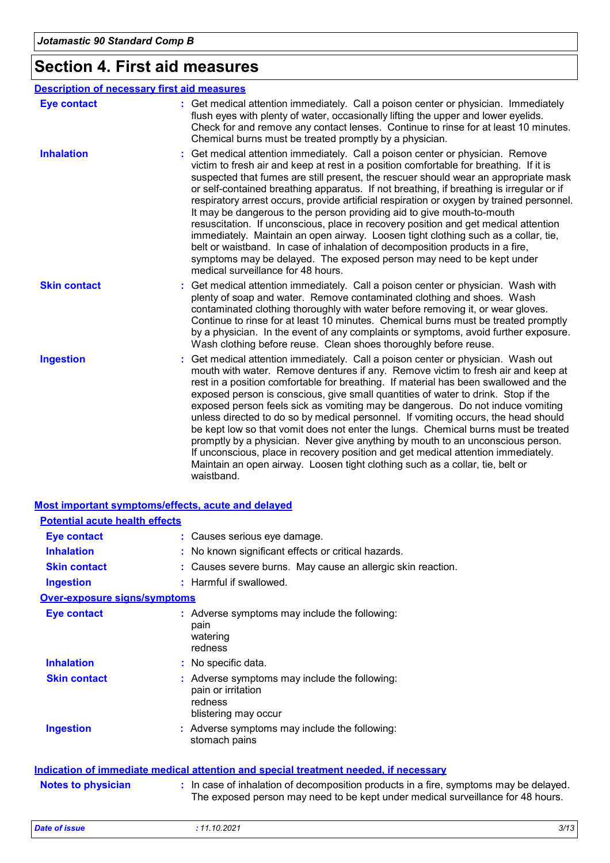## **Section 4. First aid measures**

|                     | <b>Description of necessary first aid measures</b>                                                                                                                                                                                                                                                                                                                                                                                                                                                                                                                                                                                                                                                                                                                                                                                                                                                            |
|---------------------|---------------------------------------------------------------------------------------------------------------------------------------------------------------------------------------------------------------------------------------------------------------------------------------------------------------------------------------------------------------------------------------------------------------------------------------------------------------------------------------------------------------------------------------------------------------------------------------------------------------------------------------------------------------------------------------------------------------------------------------------------------------------------------------------------------------------------------------------------------------------------------------------------------------|
| <b>Eye contact</b>  | : Get medical attention immediately. Call a poison center or physician. Immediately<br>flush eyes with plenty of water, occasionally lifting the upper and lower eyelids.<br>Check for and remove any contact lenses. Continue to rinse for at least 10 minutes.<br>Chemical burns must be treated promptly by a physician.                                                                                                                                                                                                                                                                                                                                                                                                                                                                                                                                                                                   |
| <b>Inhalation</b>   | Get medical attention immediately. Call a poison center or physician. Remove<br>victim to fresh air and keep at rest in a position comfortable for breathing. If it is<br>suspected that fumes are still present, the rescuer should wear an appropriate mask<br>or self-contained breathing apparatus. If not breathing, if breathing is irregular or if<br>respiratory arrest occurs, provide artificial respiration or oxygen by trained personnel.<br>It may be dangerous to the person providing aid to give mouth-to-mouth<br>resuscitation. If unconscious, place in recovery position and get medical attention<br>immediately. Maintain an open airway. Loosen tight clothing such as a collar, tie,<br>belt or waistband. In case of inhalation of decomposition products in a fire,<br>symptoms may be delayed. The exposed person may need to be kept under<br>medical surveillance for 48 hours. |
| <b>Skin contact</b> | Get medical attention immediately. Call a poison center or physician. Wash with<br>plenty of soap and water. Remove contaminated clothing and shoes. Wash<br>contaminated clothing thoroughly with water before removing it, or wear gloves.<br>Continue to rinse for at least 10 minutes. Chemical burns must be treated promptly<br>by a physician. In the event of any complaints or symptoms, avoid further exposure.<br>Wash clothing before reuse. Clean shoes thoroughly before reuse.                                                                                                                                                                                                                                                                                                                                                                                                                 |
| <b>Ingestion</b>    | Get medical attention immediately. Call a poison center or physician. Wash out<br>mouth with water. Remove dentures if any. Remove victim to fresh air and keep at<br>rest in a position comfortable for breathing. If material has been swallowed and the<br>exposed person is conscious, give small quantities of water to drink. Stop if the<br>exposed person feels sick as vomiting may be dangerous. Do not induce vomiting<br>unless directed to do so by medical personnel. If vomiting occurs, the head should<br>be kept low so that vomit does not enter the lungs. Chemical burns must be treated<br>promptly by a physician. Never give anything by mouth to an unconscious person.<br>If unconscious, place in recovery position and get medical attention immediately.<br>Maintain an open airway. Loosen tight clothing such as a collar, tie, belt or<br>waistband.                          |

|                                       | Most important symptoms/effects, acute and delayed                                                                                                                       |
|---------------------------------------|--------------------------------------------------------------------------------------------------------------------------------------------------------------------------|
| <b>Potential acute health effects</b> |                                                                                                                                                                          |
| <b>Eye contact</b>                    | : Causes serious eye damage.                                                                                                                                             |
| <b>Inhalation</b>                     | : No known significant effects or critical hazards.                                                                                                                      |
| <b>Skin contact</b>                   | : Causes severe burns. May cause an allergic skin reaction.                                                                                                              |
| <b>Ingestion</b>                      | : Harmful if swallowed.                                                                                                                                                  |
| <b>Over-exposure signs/symptoms</b>   |                                                                                                                                                                          |
| <b>Eye contact</b>                    | : Adverse symptoms may include the following:<br>pain<br>watering<br>redness                                                                                             |
| <b>Inhalation</b>                     | : No specific data.                                                                                                                                                      |
| <b>Skin contact</b>                   | : Adverse symptoms may include the following:<br>pain or irritation<br>redness<br>blistering may occur                                                                   |
| <b>Ingestion</b>                      | : Adverse symptoms may include the following:<br>stomach pains                                                                                                           |
|                                       | Indication of immediate medical attention and special treatment needed, if necessary                                                                                     |
| <b>Notes to physician</b>             | : In case of inhalation of decomposition products in a fire, symptoms may be delayed.<br>The exposed person may need to be kept under medical surveillance for 48 hours. |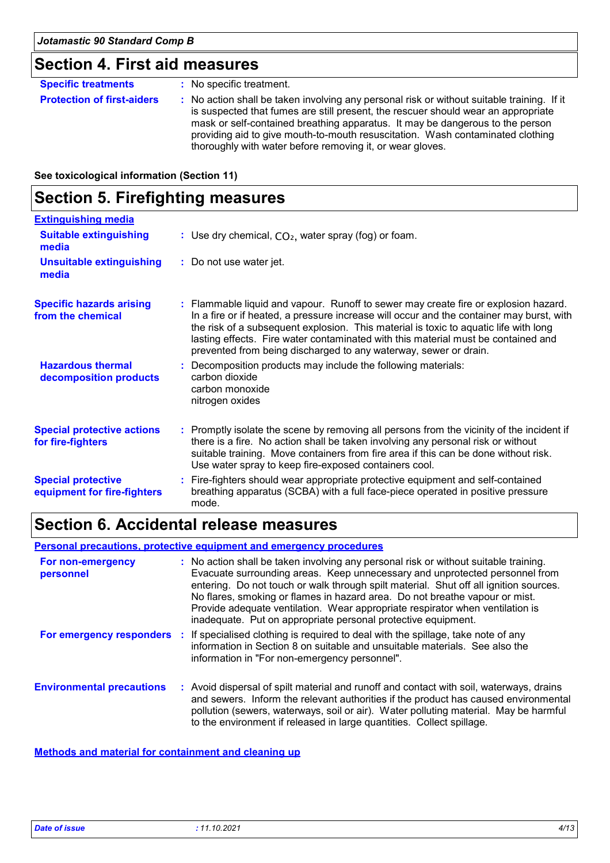### **Section 4. First aid measures**

| <b>Specific treatments</b>        | : No specific treatment.                                                                                                                                                                                                                                                                                                                                                                                        |
|-----------------------------------|-----------------------------------------------------------------------------------------------------------------------------------------------------------------------------------------------------------------------------------------------------------------------------------------------------------------------------------------------------------------------------------------------------------------|
| <b>Protection of first-aiders</b> | : No action shall be taken involving any personal risk or without suitable training. If it<br>is suspected that fumes are still present, the rescuer should wear an appropriate<br>mask or self-contained breathing apparatus. It may be dangerous to the person<br>providing aid to give mouth-to-mouth resuscitation. Wash contaminated clothing<br>thoroughly with water before removing it, or wear gloves. |

**See toxicological information (Section 11)**

### **Section 5. Firefighting measures**

| <b>Extinguishing media</b>                               |                                                                                                                                                                                                                                                                                                                                                                                                                                  |
|----------------------------------------------------------|----------------------------------------------------------------------------------------------------------------------------------------------------------------------------------------------------------------------------------------------------------------------------------------------------------------------------------------------------------------------------------------------------------------------------------|
| <b>Suitable extinguishing</b><br>media                   | : Use dry chemical, $CO2$ , water spray (fog) or foam.                                                                                                                                                                                                                                                                                                                                                                           |
| <b>Unsuitable extinguishing</b><br>media                 | : Do not use water jet.                                                                                                                                                                                                                                                                                                                                                                                                          |
| <b>Specific hazards arising</b><br>from the chemical     | : Flammable liquid and vapour. Runoff to sewer may create fire or explosion hazard.<br>In a fire or if heated, a pressure increase will occur and the container may burst, with<br>the risk of a subsequent explosion. This material is toxic to aquatic life with long<br>lasting effects. Fire water contaminated with this material must be contained and<br>prevented from being discharged to any waterway, sewer or drain. |
| <b>Hazardous thermal</b><br>decomposition products       | : Decomposition products may include the following materials:<br>carbon dioxide<br>carbon monoxide<br>nitrogen oxides                                                                                                                                                                                                                                                                                                            |
| <b>Special protective actions</b><br>for fire-fighters   | : Promptly isolate the scene by removing all persons from the vicinity of the incident if<br>there is a fire. No action shall be taken involving any personal risk or without<br>suitable training. Move containers from fire area if this can be done without risk.<br>Use water spray to keep fire-exposed containers cool.                                                                                                    |
| <b>Special protective</b><br>equipment for fire-fighters | : Fire-fighters should wear appropriate protective equipment and self-contained<br>breathing apparatus (SCBA) with a full face-piece operated in positive pressure<br>mode.                                                                                                                                                                                                                                                      |

## **Section 6. Accidental release measures**

**Personal precautions, protective equipment and emergency procedures**

| For non-emergency<br>personnel   | : No action shall be taken involving any personal risk or without suitable training.<br>Evacuate surrounding areas. Keep unnecessary and unprotected personnel from<br>entering. Do not touch or walk through spilt material. Shut off all ignition sources.<br>No flares, smoking or flames in hazard area. Do not breathe vapour or mist.<br>Provide adequate ventilation. Wear appropriate respirator when ventilation is<br>inadequate. Put on appropriate personal protective equipment. |
|----------------------------------|-----------------------------------------------------------------------------------------------------------------------------------------------------------------------------------------------------------------------------------------------------------------------------------------------------------------------------------------------------------------------------------------------------------------------------------------------------------------------------------------------|
|                                  | For emergency responders : If specialised clothing is required to deal with the spillage, take note of any<br>information in Section 8 on suitable and unsuitable materials. See also the<br>information in "For non-emergency personnel".                                                                                                                                                                                                                                                    |
| <b>Environmental precautions</b> | : Avoid dispersal of spilt material and runoff and contact with soil, waterways, drains<br>and sewers. Inform the relevant authorities if the product has caused environmental<br>pollution (sewers, waterways, soil or air). Water polluting material. May be harmful<br>to the environment if released in large quantities. Collect spillage.                                                                                                                                               |

**Methods and material for containment and cleaning up**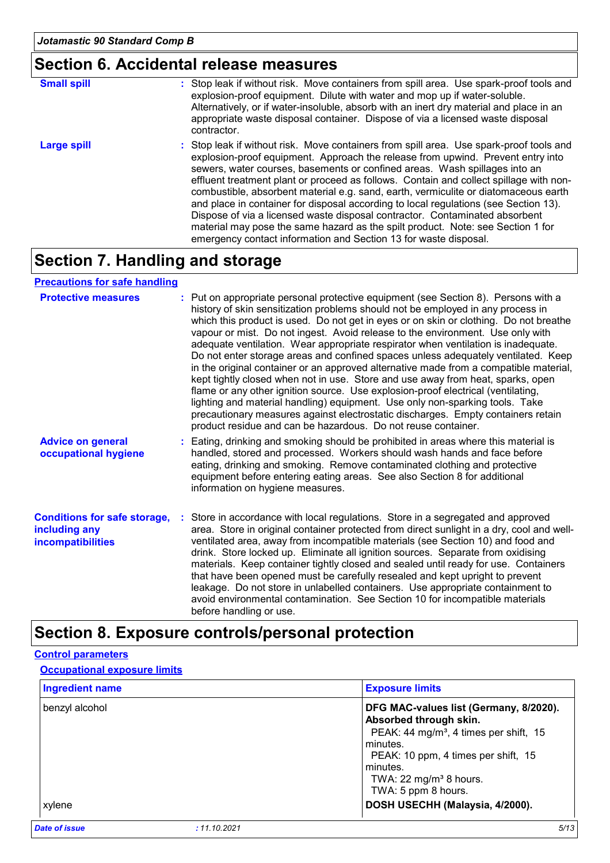## **Section 6. Accidental release measures**

| <b>Small spill</b> | : Stop leak if without risk. Move containers from spill area. Use spark-proof tools and<br>explosion-proof equipment. Dilute with water and mop up if water-soluble.<br>Alternatively, or if water-insoluble, absorb with an inert dry material and place in an<br>appropriate waste disposal container. Dispose of via a licensed waste disposal<br>contractor.                                                                                                                                                                                                                                                                                                                                                                                                        |
|--------------------|-------------------------------------------------------------------------------------------------------------------------------------------------------------------------------------------------------------------------------------------------------------------------------------------------------------------------------------------------------------------------------------------------------------------------------------------------------------------------------------------------------------------------------------------------------------------------------------------------------------------------------------------------------------------------------------------------------------------------------------------------------------------------|
| <b>Large spill</b> | : Stop leak if without risk. Move containers from spill area. Use spark-proof tools and<br>explosion-proof equipment. Approach the release from upwind. Prevent entry into<br>sewers, water courses, basements or confined areas. Wash spillages into an<br>effluent treatment plant or proceed as follows. Contain and collect spillage with non-<br>combustible, absorbent material e.g. sand, earth, vermiculite or diatomaceous earth<br>and place in container for disposal according to local regulations (see Section 13).<br>Dispose of via a licensed waste disposal contractor. Contaminated absorbent<br>material may pose the same hazard as the spilt product. Note: see Section 1 for<br>emergency contact information and Section 13 for waste disposal. |

### **Section 7. Handling and storage**

#### **Precautions for safe handling**

| <b>Protective measures</b>                                                       | : Put on appropriate personal protective equipment (see Section 8). Persons with a<br>history of skin sensitization problems should not be employed in any process in<br>which this product is used. Do not get in eyes or on skin or clothing. Do not breathe<br>vapour or mist. Do not ingest. Avoid release to the environment. Use only with<br>adequate ventilation. Wear appropriate respirator when ventilation is inadequate.<br>Do not enter storage areas and confined spaces unless adequately ventilated. Keep<br>in the original container or an approved alternative made from a compatible material,<br>kept tightly closed when not in use. Store and use away from heat, sparks, open<br>flame or any other ignition source. Use explosion-proof electrical (ventilating,<br>lighting and material handling) equipment. Use only non-sparking tools. Take<br>precautionary measures against electrostatic discharges. Empty containers retain<br>product residue and can be hazardous. Do not reuse container. |
|----------------------------------------------------------------------------------|---------------------------------------------------------------------------------------------------------------------------------------------------------------------------------------------------------------------------------------------------------------------------------------------------------------------------------------------------------------------------------------------------------------------------------------------------------------------------------------------------------------------------------------------------------------------------------------------------------------------------------------------------------------------------------------------------------------------------------------------------------------------------------------------------------------------------------------------------------------------------------------------------------------------------------------------------------------------------------------------------------------------------------|
| <b>Advice on general</b><br>occupational hygiene                                 | : Eating, drinking and smoking should be prohibited in areas where this material is<br>handled, stored and processed. Workers should wash hands and face before<br>eating, drinking and smoking. Remove contaminated clothing and protective<br>equipment before entering eating areas. See also Section 8 for additional<br>information on hygiene measures.                                                                                                                                                                                                                                                                                                                                                                                                                                                                                                                                                                                                                                                                   |
| <b>Conditions for safe storage,</b><br>including any<br><b>incompatibilities</b> | : Store in accordance with local regulations. Store in a segregated and approved<br>area. Store in original container protected from direct sunlight in a dry, cool and well-<br>ventilated area, away from incompatible materials (see Section 10) and food and<br>drink. Store locked up. Eliminate all ignition sources. Separate from oxidising<br>materials. Keep container tightly closed and sealed until ready for use. Containers<br>that have been opened must be carefully resealed and kept upright to prevent<br>leakage. Do not store in unlabelled containers. Use appropriate containment to<br>avoid environmental contamination. See Section 10 for incompatible materials<br>before handling or use.                                                                                                                                                                                                                                                                                                         |

## **Section 8. Exposure controls/personal protection**

#### **Control parameters**

#### **Occupational exposure limits**

| <b>Ingredient name</b>               | <b>Exposure limits</b>                                                                                                                                                                                                                                                                |
|--------------------------------------|---------------------------------------------------------------------------------------------------------------------------------------------------------------------------------------------------------------------------------------------------------------------------------------|
| benzyl alcohol<br>xylene             | DFG MAC-values list (Germany, 8/2020).<br>Absorbed through skin.<br>PEAK: 44 mg/m <sup>3</sup> , 4 times per shift, 15<br>minutes.<br>PEAK: 10 ppm, 4 times per shift, 15<br>minutes.<br>TWA: 22 mg/m <sup>3</sup> 8 hours.<br>TWA: 5 ppm 8 hours.<br>DOSH USECHH (Malaysia, 4/2000). |
| <b>Date of issue</b><br>: 11.10.2021 | 5/13                                                                                                                                                                                                                                                                                  |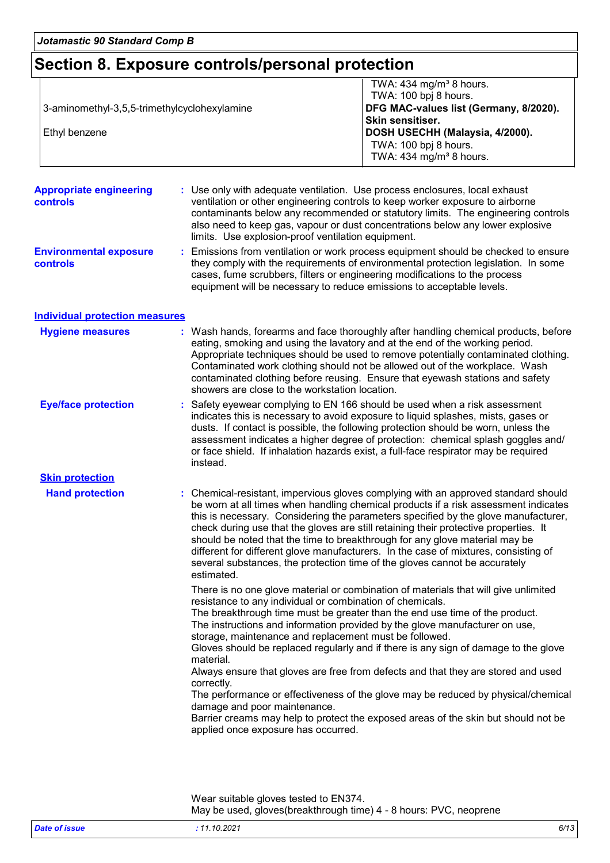### **Section 8. Exposure controls/personal protection**

|                                              | TWA: $434$ mg/m <sup>3</sup> 8 hours.  |
|----------------------------------------------|----------------------------------------|
|                                              | TWA: 100 bpj 8 hours.                  |
| 3-aminomethyl-3,5,5-trimethylcyclohexylamine | DFG MAC-values list (Germany, 8/2020). |
|                                              | <b>Skin sensitiser.</b>                |
| Ethyl benzene                                | DOSH USECHH (Malaysia, 4/2000).        |
|                                              | TWA: 100 bpj 8 hours.                  |
|                                              | TWA: $434$ mg/m <sup>3</sup> 8 hours.  |

**Appropriate engineering controls :** Use only with adequate ventilation. Use process enclosures, local exhaust ventilation or other engineering controls to keep worker exposure to airborne contaminants below any recommended or statutory limits. The engineering controls also need to keep gas, vapour or dust concentrations below any lower explosive limits. Use explosion-proof ventilation equipment.

**Environmental exposure controls :** Emissions from ventilation or work process equipment should be checked to ensure they comply with the requirements of environmental protection legislation. In some cases, fume scrubbers, filters or engineering modifications to the process equipment will be necessary to reduce emissions to acceptable levels.

| Individual protection measures |
|--------------------------------|
|--------------------------------|

| <b>Hygiene measures</b>    | : Wash hands, forearms and face thoroughly after handling chemical products, before<br>eating, smoking and using the lavatory and at the end of the working period.<br>Appropriate techniques should be used to remove potentially contaminated clothing.<br>Contaminated work clothing should not be allowed out of the workplace. Wash<br>contaminated clothing before reusing. Ensure that eyewash stations and safety<br>showers are close to the workstation location.                                                                                                                                               |
|----------------------------|---------------------------------------------------------------------------------------------------------------------------------------------------------------------------------------------------------------------------------------------------------------------------------------------------------------------------------------------------------------------------------------------------------------------------------------------------------------------------------------------------------------------------------------------------------------------------------------------------------------------------|
| <b>Eye/face protection</b> | : Safety eyewear complying to EN 166 should be used when a risk assessment<br>indicates this is necessary to avoid exposure to liquid splashes, mists, gases or<br>dusts. If contact is possible, the following protection should be worn, unless the<br>assessment indicates a higher degree of protection: chemical splash goggles and/<br>or face shield. If inhalation hazards exist, a full-face respirator may be required<br>instead.                                                                                                                                                                              |
| <b>Skin protection</b>     |                                                                                                                                                                                                                                                                                                                                                                                                                                                                                                                                                                                                                           |
| <b>Hand protection</b>     | : Chemical-resistant, impervious gloves complying with an approved standard should<br>be worn at all times when handling chemical products if a risk assessment indicates<br>this is necessary. Considering the parameters specified by the glove manufacturer,<br>check during use that the gloves are still retaining their protective properties. It<br>should be noted that the time to breakthrough for any glove material may be<br>different for different glove manufacturers. In the case of mixtures, consisting of<br>several substances, the protection time of the gloves cannot be accurately<br>estimated. |
|                            | There is no one glove material or combination of materials that will give unlimited<br>resistance to any individual or combination of chemicals.<br>The breakthrough time must be greater than the end use time of the product.<br>The instructions and information provided by the glove manufacturer on use,<br>storage, maintenance and replacement must be followed.<br>Gloves should be replaced regularly and if there is any sign of damage to the glove<br>material.<br>Always ensure that gloves are free from defects and that they are stored and used                                                         |

correctly. The performance or effectiveness of the glove may be reduced by physical/chemical damage and poor maintenance.

Barrier creams may help to protect the exposed areas of the skin but should not be applied once exposure has occurred.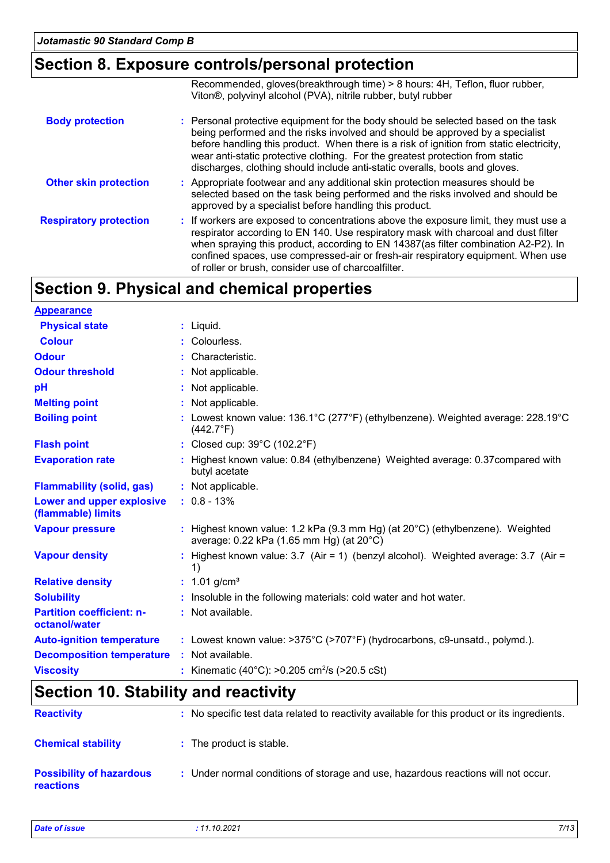### **Section 8. Exposure controls/personal protection**

|                               | Recommended, gloves(breakthrough time) > 8 hours: 4H, Teflon, fluor rubber,<br>Viton <sup>®</sup> , polyvinyl alcohol (PVA), nitrile rubber, butyl rubber                                                                                                                                                                                                                                                                     |
|-------------------------------|-------------------------------------------------------------------------------------------------------------------------------------------------------------------------------------------------------------------------------------------------------------------------------------------------------------------------------------------------------------------------------------------------------------------------------|
| <b>Body protection</b>        | : Personal protective equipment for the body should be selected based on the task<br>being performed and the risks involved and should be approved by a specialist<br>before handling this product. When there is a risk of ignition from static electricity,<br>wear anti-static protective clothing. For the greatest protection from static<br>discharges, clothing should include anti-static overalls, boots and gloves. |
| <b>Other skin protection</b>  | : Appropriate footwear and any additional skin protection measures should be<br>selected based on the task being performed and the risks involved and should be<br>approved by a specialist before handling this product.                                                                                                                                                                                                     |
| <b>Respiratory protection</b> | : If workers are exposed to concentrations above the exposure limit, they must use a<br>respirator according to EN 140. Use respiratory mask with charcoal and dust filter<br>when spraying this product, according to EN 14387(as filter combination A2-P2). In<br>confined spaces, use compressed-air or fresh-air respiratory equipment. When use<br>of roller or brush, consider use of charcoalfilter.                   |

## **Section 9. Physical and chemical properties**

| <b>Appearance</b>                                 |                                                                                                                            |
|---------------------------------------------------|----------------------------------------------------------------------------------------------------------------------------|
| <b>Physical state</b>                             | $:$ Liquid.                                                                                                                |
| <b>Colour</b>                                     | : Colourless.                                                                                                              |
| <b>Odour</b>                                      | : Characteristic.                                                                                                          |
| <b>Odour threshold</b>                            | : Not applicable.                                                                                                          |
| pH                                                | : Not applicable.                                                                                                          |
| <b>Melting point</b>                              | : Not applicable.                                                                                                          |
| <b>Boiling point</b>                              | : Lowest known value: $136.1^{\circ}$ C (277°F) (ethylbenzene). Weighted average: $228.19^{\circ}$ C<br>$(442.7^{\circ}F)$ |
| <b>Flash point</b>                                | : Closed cup: $39^{\circ}$ C (102.2 $^{\circ}$ F)                                                                          |
| <b>Evaporation rate</b>                           | : Highest known value: 0.84 (ethylbenzene) Weighted average: 0.37 compared with<br>butyl acetate                           |
| <b>Flammability (solid, gas)</b>                  | : Not applicable.                                                                                                          |
| Lower and upper explosive<br>(flammable) limits   | $: 0.8 - 13\%$                                                                                                             |
| <b>Vapour pressure</b>                            | : Highest known value: 1.2 kPa (9.3 mm Hg) (at 20°C) (ethylbenzene). Weighted<br>average: 0.22 kPa (1.65 mm Hg) (at 20°C)  |
| <b>Vapour density</b>                             | : Highest known value: $3.7$ (Air = 1) (benzyl alcohol). Weighted average: $3.7$ (Air =<br>1)                              |
| <b>Relative density</b>                           | : $1.01$ g/cm <sup>3</sup>                                                                                                 |
| <b>Solubility</b>                                 | : Insoluble in the following materials: cold water and hot water.                                                          |
| <b>Partition coefficient: n-</b><br>octanol/water | : Not available.                                                                                                           |
| <b>Auto-ignition temperature</b>                  | : Lowest known value: >375°C (>707°F) (hydrocarbons, c9-unsatd., polymd.).                                                 |
| <b>Decomposition temperature</b>                  | : Not available.                                                                                                           |
| <b>Viscosity</b>                                  | : Kinematic (40°C): >0.205 cm <sup>2</sup> /s (>20.5 cSt)                                                                  |
|                                                   |                                                                                                                            |

### **Section 10. Stability and reactivity**

| <b>Reactivity</b>                            | : No specific test data related to reactivity available for this product or its ingredients. |
|----------------------------------------------|----------------------------------------------------------------------------------------------|
| <b>Chemical stability</b>                    | : The product is stable.                                                                     |
| <b>Possibility of hazardous</b><br>reactions | : Under normal conditions of storage and use, hazardous reactions will not occur.            |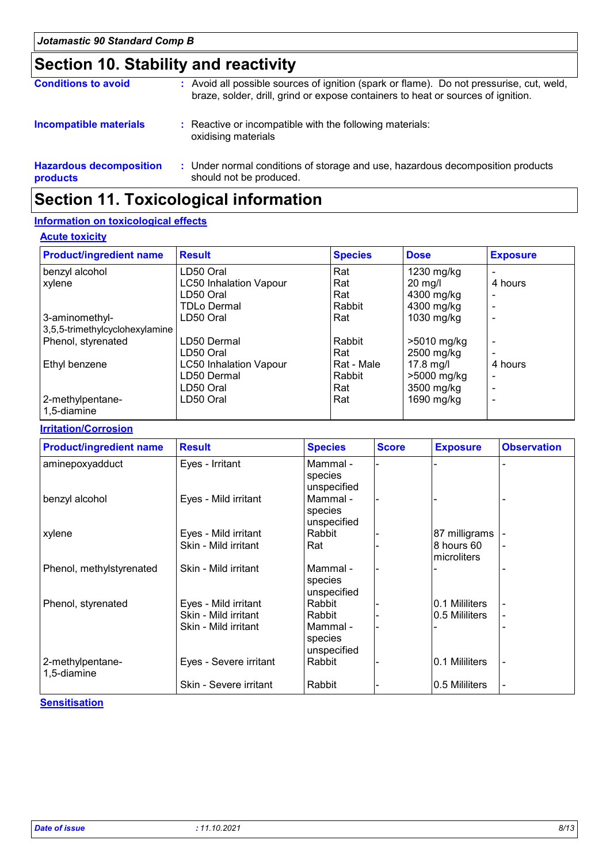## **Section 10. Stability and reactivity**

| <b>Conditions to avoid</b>                 | : Avoid all possible sources of ignition (spark or flame). Do not pressurise, cut, weld,<br>braze, solder, drill, grind or expose containers to heat or sources of ignition. |
|--------------------------------------------|------------------------------------------------------------------------------------------------------------------------------------------------------------------------------|
| <b>Incompatible materials</b>              | : Reactive or incompatible with the following materials:<br>oxidising materials                                                                                              |
| <b>Hazardous decomposition</b><br>products | : Under normal conditions of storage and use, hazardous decomposition products<br>should not be produced.                                                                    |

## **Section 11. Toxicological information**

#### **Information on toxicological effects**

#### **Acute toxicity**

| <b>Product/ingredient name</b>  | <b>Result</b>                 | <b>Species</b> | <b>Dose</b> | <b>Exposure</b> |
|---------------------------------|-------------------------------|----------------|-------------|-----------------|
| benzyl alcohol                  | LD50 Oral                     | Rat            | 1230 mg/kg  |                 |
| xylene                          | <b>LC50 Inhalation Vapour</b> | Rat            | $20$ mg/l   | 4 hours         |
|                                 | LD50 Oral                     | Rat            | 4300 mg/kg  |                 |
|                                 | TDLo Dermal                   | Rabbit         | 4300 mg/kg  |                 |
| 3-aminomethyl-                  | LD50 Oral                     | Rat            | 1030 mg/kg  |                 |
| 3,5,5-trimethylcyclohexylamine  |                               |                |             |                 |
| Phenol, styrenated              | LD50 Dermal                   | Rabbit         | >5010 mg/kg |                 |
|                                 | LD50 Oral                     | Rat            | 2500 mg/kg  |                 |
| Ethyl benzene                   | <b>LC50 Inhalation Vapour</b> | Rat - Male     | $17.8$ mg/l | 4 hours         |
|                                 | LD50 Dermal                   | Rabbit         | >5000 mg/kg |                 |
|                                 | LD50 Oral                     | Rat            | 3500 mg/kg  |                 |
| 2-methylpentane-<br>1,5-diamine | LD50 Oral                     | Rat            | 1690 mg/kg  |                 |

#### **Irritation/Corrosion**

| <b>Product/ingredient name</b>  | <b>Result</b>                                                        | <b>Species</b>                                         | <b>Score</b> | <b>Exposure</b>                  | <b>Observation</b> |
|---------------------------------|----------------------------------------------------------------------|--------------------------------------------------------|--------------|----------------------------------|--------------------|
| aminepoxyadduct                 | Eyes - Irritant                                                      | Mammal -<br>species<br>unspecified                     |              |                                  |                    |
| benzyl alcohol                  | Eyes - Mild irritant                                                 | Mammal -<br>species<br>unspecified                     |              |                                  |                    |
| xylene                          | Eyes - Mild irritant<br>Skin - Mild irritant                         | Rabbit<br>Rat                                          |              | 87 milligrams<br>8 hours 60      |                    |
| Phenol, methylstyrenated        | Skin - Mild irritant                                                 | Mammal -<br>species<br>unspecified                     |              | microliters                      |                    |
| Phenol, styrenated              | Eyes - Mild irritant<br>Skin - Mild irritant<br>Skin - Mild irritant | Rabbit<br>Rabbit<br>Mammal -<br>species<br>unspecified |              | 0.1 Mililiters<br>0.5 Mililiters |                    |
| 2-methylpentane-<br>1,5-diamine | Eyes - Severe irritant<br>Skin - Severe irritant                     | Rabbit<br>Rabbit                                       |              | 0.1 Mililiters<br>0.5 Mililiters |                    |

#### **Sensitisation**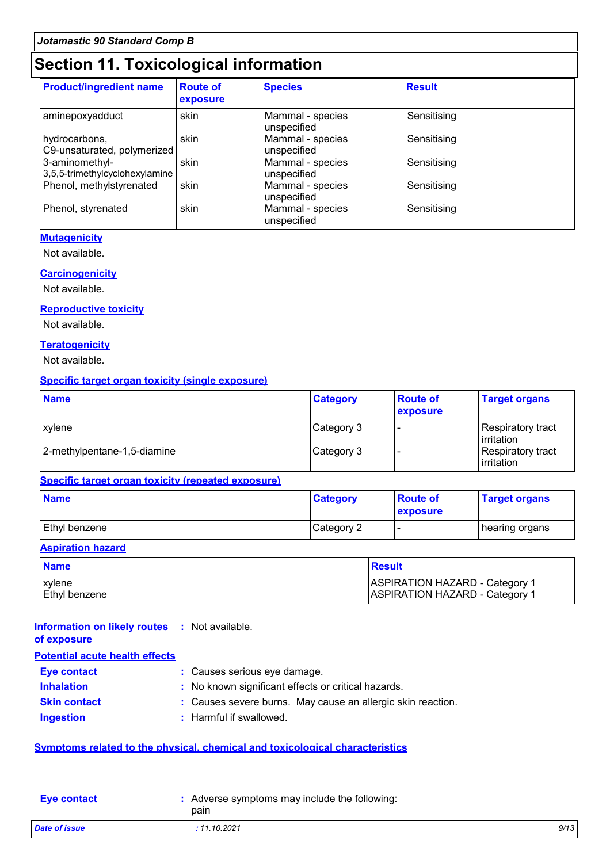### **Section 11. Toxicological information**

| <b>Product/ingredient name</b>                   | <b>Route of</b><br>exposure | <b>Species</b>                  | <b>Result</b> |
|--------------------------------------------------|-----------------------------|---------------------------------|---------------|
| aminepoxyadduct                                  | skin                        | Mammal - species<br>unspecified | Sensitising   |
| hydrocarbons,<br>C9-unsaturated, polymerized     | skin                        | Mammal - species<br>unspecified | Sensitising   |
| 3-aminomethyl-<br>3,5,5-trimethylcyclohexylamine | skin                        | Mammal - species<br>unspecified | Sensitising   |
| Phenol, methylstyrenated                         | skin                        | Mammal - species<br>unspecified | Sensitising   |
| Phenol, styrenated                               | skin                        | Mammal - species<br>unspecified | Sensitising   |

#### **Mutagenicity**

Not available.

#### **Carcinogenicity**

Not available.

#### **Reproductive toxicity**

Not available.

#### **Teratogenicity**

Not available.

#### **Specific target organ toxicity (single exposure)**

| <b>Name</b>                 | <b>Category</b> | <b>Route of</b><br>exposure | <b>Target organs</b>              |
|-----------------------------|-----------------|-----------------------------|-----------------------------------|
| xylene                      | Category 3      |                             | Respiratory tract<br>l irritation |
| 2-methylpentane-1,5-diamine | Category 3      |                             | Respiratory tract<br>irritation   |

#### **Specific target organ toxicity (repeated exposure)**

| <b>Name</b>   | <b>Category</b> | <b>Route of</b><br><b>exposure</b> | <b>Target organs</b> |
|---------------|-----------------|------------------------------------|----------------------|
| Ethyl benzene | Category 2      |                                    | hearing organs       |

#### **Aspiration hazard**

| <b>Name</b>          | Result                                |
|----------------------|---------------------------------------|
| <b>xylene</b>        | ASPIRATION HAZARD - Category 1        |
| <b>Ethyl benzene</b> | <b>ASPIRATION HAZARD - Category 1</b> |

#### **Information on likely routes :** Not available. **of exposure**

| <u>UI UMMUUMI U</u>                   |                                                             |
|---------------------------------------|-------------------------------------------------------------|
| <b>Potential acute health effects</b> |                                                             |
| <b>Eye contact</b>                    | : Causes serious eye damage.                                |
| <b>Inhalation</b>                     | : No known significant effects or critical hazards.         |
| <b>Skin contact</b>                   | : Causes severe burns. May cause an allergic skin reaction. |
| <b>Ingestion</b>                      | : Harmful if swallowed.                                     |
|                                       |                                                             |

#### **Symptoms related to the physical, chemical and toxicological characteristics**

| <b>Eye contact</b> | Adverse symptoms may include the following:<br>pain |      |
|--------------------|-----------------------------------------------------|------|
| Date of issue      | : 11.10.2021                                        | 9/13 |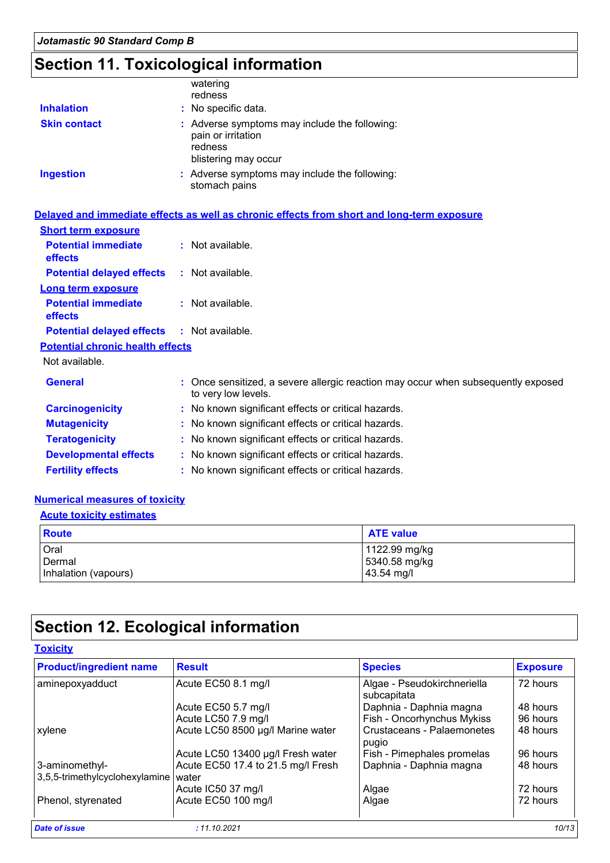## **Section 11. Toxicological information**

| <b>Inhalation</b>   | watering<br>redness<br>: No specific data.                                                             |  |
|---------------------|--------------------------------------------------------------------------------------------------------|--|
| <b>Skin contact</b> | : Adverse symptoms may include the following:<br>pain or irritation<br>redness<br>blistering may occur |  |
| <b>Ingestion</b>    | : Adverse symptoms may include the following:<br>stomach pains                                         |  |

|                                              | Delayed and immediate effects as well as chronic effects from short and long-term exposure               |
|----------------------------------------------|----------------------------------------------------------------------------------------------------------|
| <b>Short term exposure</b>                   |                                                                                                          |
| <b>Potential immediate</b><br><b>effects</b> | : Not available.                                                                                         |
| <b>Potential delayed effects</b>             | : Not available.                                                                                         |
| <b>Long term exposure</b>                    |                                                                                                          |
| <b>Potential immediate</b><br><b>effects</b> | $:$ Not available.                                                                                       |
| <b>Potential delayed effects</b>             | : Not available.                                                                                         |
| <b>Potential chronic health effects</b>      |                                                                                                          |
| Not available.                               |                                                                                                          |
| <b>General</b>                               | : Once sensitized, a severe allergic reaction may occur when subsequently exposed<br>to very low levels. |
| <b>Carcinogenicity</b>                       | : No known significant effects or critical hazards.                                                      |
| <b>Mutagenicity</b>                          | : No known significant effects or critical hazards.                                                      |
| <b>Teratogenicity</b>                        | : No known significant effects or critical hazards.                                                      |
| <b>Developmental effects</b>                 | : No known significant effects or critical hazards.                                                      |
| <b>Fertility effects</b>                     | : No known significant effects or critical hazards.                                                      |

#### **Numerical measures of toxicity**

#### **Acute toxicity estimates**

| Route                | <b>ATE value</b> |
|----------------------|------------------|
| Oral                 | 1122.99 mg/kg    |
| Dermal               | 5340.58 mg/kg    |
| Inhalation (vapours) | 43.54 mg/l       |

## **Section 12. Ecological information**

#### **Toxicity**

| aminepoxyadduct                                  |                                             |                                            |          |
|--------------------------------------------------|---------------------------------------------|--------------------------------------------|----------|
|                                                  | Acute EC50 8.1 mg/l                         | Algae - Pseudokirchneriella<br>subcapitata | 72 hours |
|                                                  | Acute EC50 5.7 mg/l                         | Daphnia - Daphnia magna                    | 48 hours |
|                                                  | Acute LC50 7.9 mg/l                         | Fish - Oncorhynchus Mykiss                 | 96 hours |
| xylene                                           | Acute LC50 8500 µg/l Marine water           | Crustaceans - Palaemonetes<br>pugio        | 48 hours |
|                                                  | Acute LC50 13400 µg/l Fresh water           | Fish - Pimephales promelas                 | 96 hours |
| 3-aminomethyl-<br>3,5,5-trimethylcyclohexylamine | Acute EC50 17.4 to 21.5 mg/l Fresh<br>water | Daphnia - Daphnia magna                    | 48 hours |
|                                                  | Acute IC50 37 mg/l                          | Algae                                      | 72 hours |
| Phenol, styrenated                               | Acute EC50 100 mg/l                         | Algae                                      | 72 hours |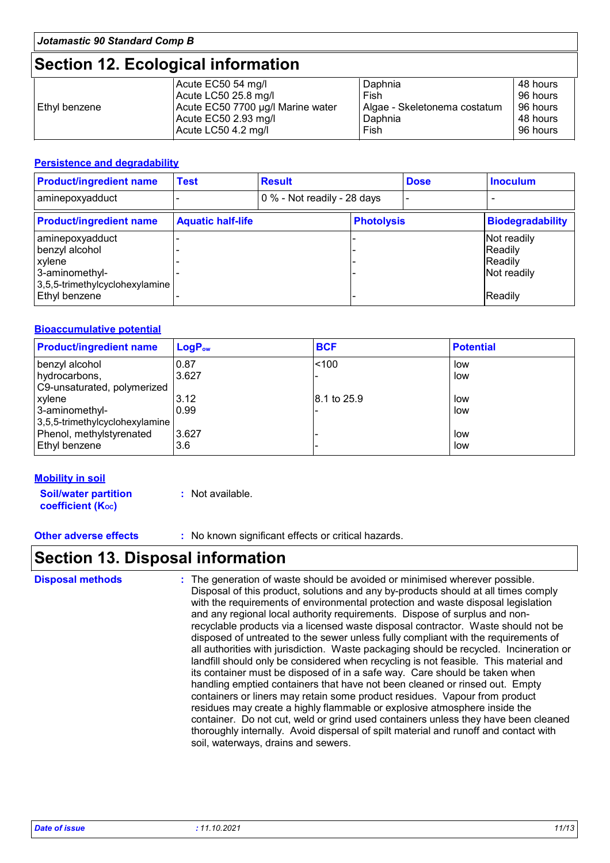### **Section 12. Ecological information**

|               | Acute EC50 54 mg/l                | Daphnia                      | 48 hours |
|---------------|-----------------------------------|------------------------------|----------|
|               | Acute LC50 25.8 mg/l              | Fish                         | 96 hours |
| Ethyl benzene | Acute EC50 7700 µg/l Marine water | Algae - Skeletonema costatum | 96 hours |
|               | Acute EC50 2.93 mg/l              | Daphnia                      | 48 hours |
|               | Acute LC50 4.2 mg/l               | Fish                         | 96 hours |

#### **Persistence and degradability**

| <b>Product/ingredient name</b>                                                                  | <b>Test</b>              | <b>Result</b>               |                   | <b>Dose</b> | <b>Inoculum</b>                                  |
|-------------------------------------------------------------------------------------------------|--------------------------|-----------------------------|-------------------|-------------|--------------------------------------------------|
| aminepoxyadduct                                                                                 |                          | 0 % - Not readily - 28 days |                   |             |                                                  |
| <b>Product/ingredient name</b>                                                                  | <b>Aquatic half-life</b> |                             | <b>Photolysis</b> |             | <b>Biodegradability</b>                          |
| aminepoxyadduct<br>benzyl alcohol<br>xylene<br>3-aminomethyl-<br>3,5,5-trimethylcyclohexylamine |                          |                             |                   |             | Not readily<br>Readily<br>Readily<br>Not readily |
| Ethyl benzene                                                                                   |                          |                             |                   |             | Readily                                          |

#### **Bioaccumulative potential**

| <b>Product/ingredient name</b> | $\mathsf{LogP}_\mathsf{ow}$ | <b>BCF</b>  | <b>Potential</b> |
|--------------------------------|-----------------------------|-------------|------------------|
| benzyl alcohol                 | 0.87                        | < 100       | low              |
| hydrocarbons,                  | 3.627                       |             | low              |
| C9-unsaturated, polymerized    |                             |             |                  |
| xylene                         | 3.12                        | 8.1 to 25.9 | low              |
| 3-aminomethyl-                 | 0.99                        |             | low              |
| 3,5,5-trimethylcyclohexylamine |                             |             |                  |
| Phenol, methylstyrenated       | 3.627                       |             | low              |
| Ethyl benzene                  | 3.6                         |             | low              |

#### **Mobility in soil**

**Soil/water partition coefficient (KOC)**

**:** Not available.

**Other adverse effects :** No known significant effects or critical hazards.

### **Section 13. Disposal information**

The generation of waste should be avoided or minimised wherever possible. Disposal of this product, solutions and any by-products should at all times comply with the requirements of environmental protection and waste disposal legislation and any regional local authority requirements. Dispose of surplus and nonrecyclable products via a licensed waste disposal contractor. Waste should not be disposed of untreated to the sewer unless fully compliant with the requirements of all authorities with jurisdiction. Waste packaging should be recycled. Incineration or landfill should only be considered when recycling is not feasible. This material and its container must be disposed of in a safe way. Care should be taken when handling emptied containers that have not been cleaned or rinsed out. Empty containers or liners may retain some product residues. Vapour from product residues may create a highly flammable or explosive atmosphere inside the container. Do not cut, weld or grind used containers unless they have been cleaned thoroughly internally. Avoid dispersal of spilt material and runoff and contact with soil, waterways, drains and sewers. **Disposal methods :**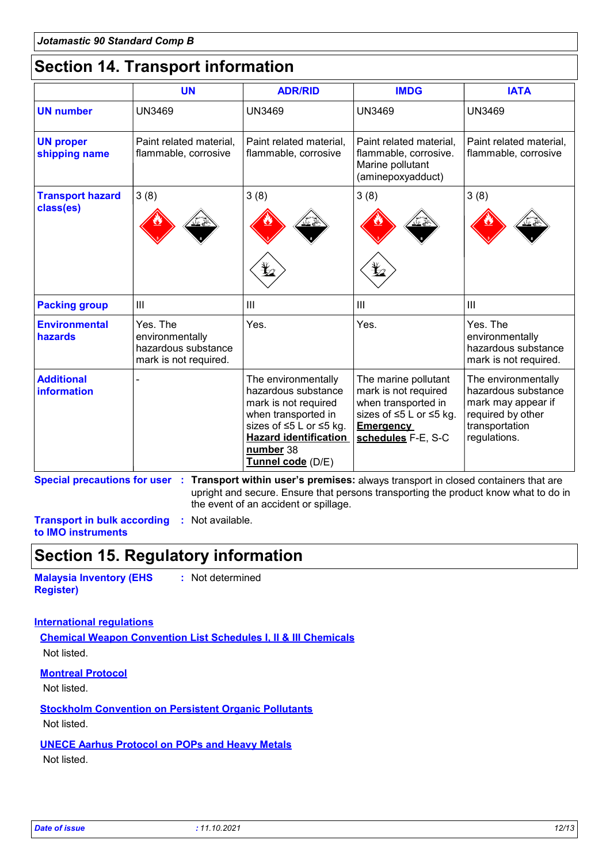### **Section 14. Transport information**

|                                      | <b>UN</b>                                                                   | <b>ADR/RID</b>                                                                                                                                                                         | <b>IMDG</b>                                                                                                                              | <b>IATA</b>                                                                                                             |
|--------------------------------------|-----------------------------------------------------------------------------|----------------------------------------------------------------------------------------------------------------------------------------------------------------------------------------|------------------------------------------------------------------------------------------------------------------------------------------|-------------------------------------------------------------------------------------------------------------------------|
| <b>UN number</b>                     | <b>UN3469</b>                                                               | <b>UN3469</b>                                                                                                                                                                          | <b>UN3469</b>                                                                                                                            | <b>UN3469</b>                                                                                                           |
| <b>UN proper</b><br>shipping name    | Paint related material,<br>flammable, corrosive                             | Paint related material,<br>flammable, corrosive                                                                                                                                        | Paint related material,<br>flammable, corrosive.<br>Marine pollutant<br>(aminepoxyadduct)                                                | Paint related material,<br>flammable, corrosive                                                                         |
| <b>Transport hazard</b><br>class(es) | 3(8)                                                                        | 3(8)                                                                                                                                                                                   | 3(8)                                                                                                                                     | 3(8)                                                                                                                    |
| <b>Packing group</b>                 | III                                                                         | $\mathbf{III}$                                                                                                                                                                         | $\mathbf{III}$                                                                                                                           | III                                                                                                                     |
| <b>Environmental</b><br>hazards      | Yes. The<br>environmentally<br>hazardous substance<br>mark is not required. | Yes.                                                                                                                                                                                   | Yes.                                                                                                                                     | Yes. The<br>environmentally<br>hazardous substance<br>mark is not required.                                             |
| <b>Additional</b><br>information     |                                                                             | The environmentally<br>hazardous substance<br>mark is not required<br>when transported in<br>sizes of ≤5 L or ≤5 kg.<br><b>Hazard identification</b><br>number 38<br>Tunnel code (D/E) | The marine pollutant<br>mark is not required<br>when transported in<br>sizes of ≤5 L or ≤5 kg.<br><b>Emergency</b><br>schedules F-E, S-C | The environmentally<br>hazardous substance<br>mark may appear if<br>required by other<br>transportation<br>regulations. |

**Special precautions for user Transport within user's premises:** always transport in closed containers that are **:** upright and secure. Ensure that persons transporting the product know what to do in the event of an accident or spillage.

**Transport in bulk according :** Not available. **to IMO instruments**

## **Section 15. Regulatory information**

**Malaysia Inventory (EHS Register)**

**:** Not determined

### **International regulations**

**Chemical Weapon Convention List Schedules I, II & III Chemicals** Not listed.

#### **Montreal Protocol**

Not listed.

### **Stockholm Convention on Persistent Organic Pollutants**

Not listed.

#### **UNECE Aarhus Protocol on POPs and Heavy Metals**

Not listed.